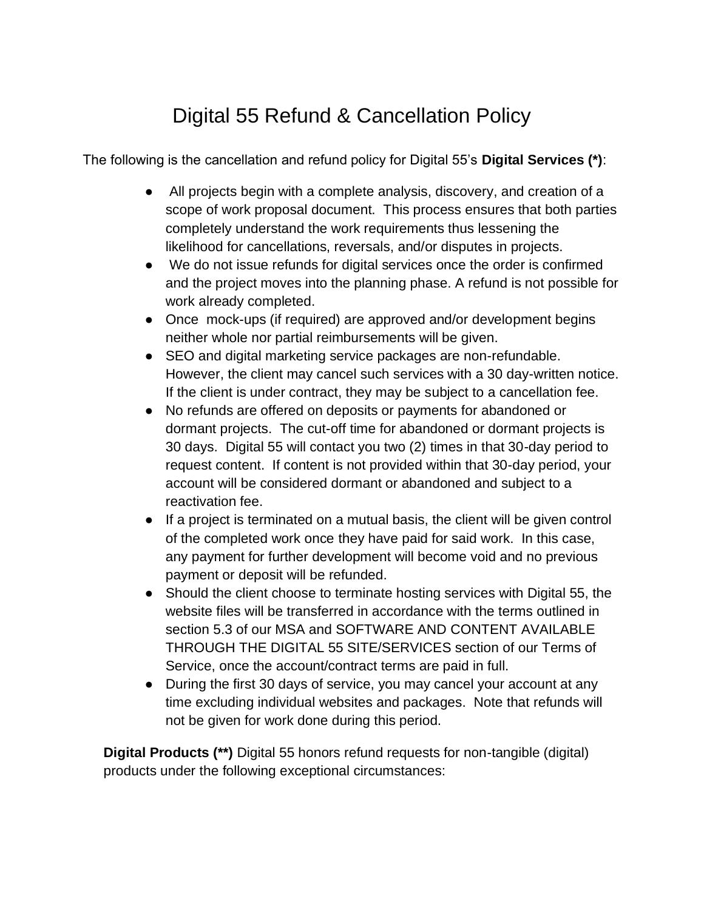## Digital 55 Refund & Cancellation Policy

The following is the cancellation and refund policy for Digital 55's **Digital Services (\*)**:

- All projects begin with a complete analysis, discovery, and creation of a scope of work proposal document. This process ensures that both parties completely understand the work requirements thus lessening the likelihood for cancellations, reversals, and/or disputes in projects.
- We do not issue refunds for digital services once the order is confirmed and the project moves into the planning phase. A refund is not possible for work already completed.
- Once mock-ups (if required) are approved and/or development begins neither whole nor partial reimbursements will be given.
- SEO and digital marketing service packages are non-refundable. However, the client may cancel such services with a 30 day-written notice. If the client is under contract, they may be subject to a cancellation fee.
- No refunds are offered on deposits or payments for abandoned or dormant projects. The cut-off time for abandoned or dormant projects is 30 days. Digital 55 will contact you two (2) times in that 30-day period to request content. If content is not provided within that 30-day period, your account will be considered dormant or abandoned and subject to a reactivation fee.
- If a project is terminated on a mutual basis, the client will be given control of the completed work once they have paid for said work. In this case, any payment for further development will become void and no previous payment or deposit will be refunded.
- Should the client choose to terminate hosting services with Digital 55, the website files will be transferred in accordance with the terms outlined in section 5.3 of our MSA and SOFTWARE AND CONTENT AVAILABLE THROUGH THE DIGITAL 55 SITE/SERVICES section of our Terms of Service, once the account/contract terms are paid in full.
- During the first 30 days of service, you may cancel your account at any time excluding individual websites and packages. Note that refunds will not be given for work done during this period.

**Digital Products (\*\*)** Digital 55 honors refund requests for non-tangible (digital) products under the following exceptional circumstances: